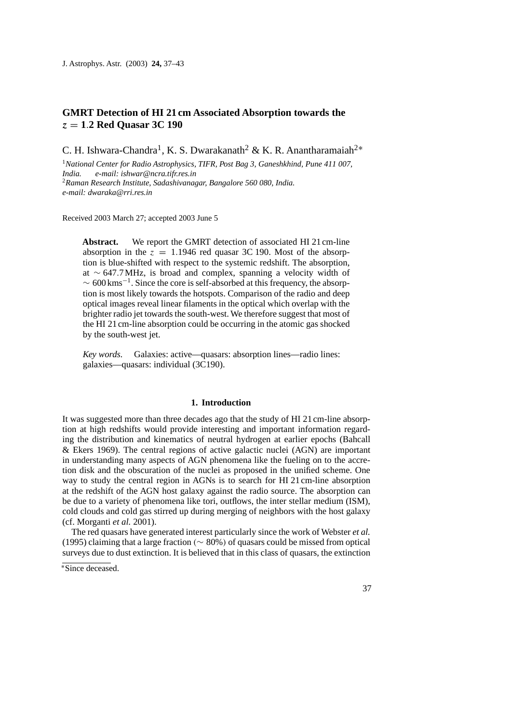# **GMRT Detection of HI 21 cm Associated Absorption towards the** *z* = **1**.**2 Red Quasar 3C 190**

C. H. Ishwara-Chandra<sup>1</sup>, K. S. Dwarakanath<sup>2</sup> & K. R. Anantharamaiah<sup>2</sup><sup>∗</sup>

<sup>1</sup>*National Center for Radio Astrophysics, TIFR, Post Bag 3, Ganeshkhind, Pune 411 007, India. e-mail: ishwar@ncra.tifr.res.in* <sup>2</sup>*Raman Research Institute, Sadashivanagar, Bangalore 560 080, India. e-mail: dwaraka@rri.res.in*

Received 2003 March 27; accepted 2003 June 5

**Abstract.** We report the GMRT detection of associated HI 21 cm-line absorption in the  $z = 1.1946$  red quasar 3C 190. Most of the absorption is blue-shifted with respect to the systemic redshift. The absorption, at ∼ 647.7 MHz, is broad and complex, spanning a velocity width of  $\sim 600 \,\mathrm{km s^{-1}}$ . Since the core is self-absorbed at this frequency, the absorption is most likely towards the hotspots. Comparison of the radio and deep optical images reveal linear filaments in the optical which overlap with the brighter radio jet towards the south-west. We therefore suggest that most of the HI 21 cm-line absorption could be occurring in the atomic gas shocked by the south-west jet.

*Key words.* Galaxies: active—quasars: absorption lines—radio lines: galaxies—quasars: individual (3C190).

## **1. Introduction**

It was suggested more than three decades ago that the study of HI 21 cm-line absorption at high redshifts would provide interesting and important information regarding the distribution and kinematics of neutral hydrogen at earlier epochs (Bahcall & Ekers 1969). The central regions of active galactic nuclei (AGN) are important in understanding many aspects of AGN phenomena like the fueling on to the accretion disk and the obscuration of the nuclei as proposed in the unified scheme. One way to study the central region in AGNs is to search for HI 21 cm-line absorption at the redshift of the AGN host galaxy against the radio source. The absorption can be due to a variety of phenomena like tori, outflows, the inter stellar medium (ISM), cold clouds and cold gas stirred up during merging of neighbors with the host galaxy (cf. Morganti *et al.* 2001).

The red quasars have generated interest particularly since the work of Webster *et al.* (1995) claiming that a large fraction (∼ 80%) of quasars could be missed from optical surveys due to dust extinction. It is believed that in this class of quasars, the extinction

<sup>∗</sup>Since deceased.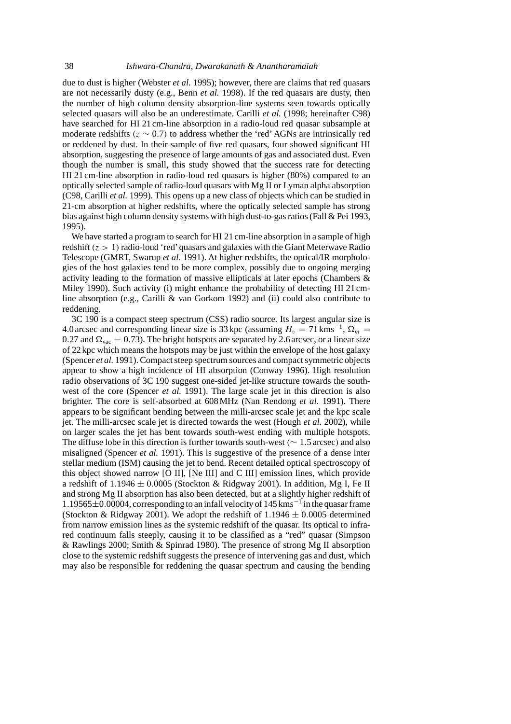due to dust is higher (Webster *et al.* 1995); however, there are claims that red quasars are not necessarily dusty (e.g., Benn *et al.* 1998). If the red quasars are dusty, then the number of high column density absorption-line systems seen towards optically selected quasars will also be an underestimate. Carilli *et al.* (1998; hereinafter C98) have searched for HI 21 cm-line absorption in a radio-loud red quasar subsample at moderate redshifts ( $z \sim 0.7$ ) to address whether the 'red' AGNs are intrinsically red or reddened by dust. In their sample of five red quasars, four showed significant HI absorption, suggesting the presence of large amounts of gas and associated dust. Even though the number is small, this study showed that the success rate for detecting HI 21 cm-line absorption in radio-loud red quasars is higher (80%) compared to an optically selected sample of radio-loud quasars with Mg II or Lyman alpha absorption (C98, Carilli *et al.* 1999). This opens up a new class of objects which can be studied in 21-cm absorption at higher redshifts, where the optically selected sample has strong bias against high column density systems with high dust-to-gas ratios (Fall & Pei 1993, 1995).

We have started a program to search for HI 21 cm-line absorption in a sample of high redshift  $(z > 1)$  radio-loud 'red' quasars and galaxies with the Giant Meterwave Radio Telescope (GMRT, Swarup *et al.* 1991). At higher redshifts, the optical/IR morphologies of the host galaxies tend to be more complex, possibly due to ongoing merging activity leading to the formation of massive ellipticals at later epochs (Chambers  $\&$ Miley 1990). Such activity (i) might enhance the probability of detecting HI 21 cmline absorption (e.g., Carilli & van Gorkom 1992) and (ii) could also contribute to reddening.

3C 190 is a compact steep spectrum (CSS) radio source. Its largest angular size is 4.0 arcsec and corresponding linear size is 33 kpc (assuming  $H_0 = 71 \text{ km s}^{-1}$ ,  $\Omega_m =$ 0.27 and  $\Omega_{\text{vac}} = 0.73$ ). The bright hotspots are separated by 2.6 arcsec, or a linear size of 22 kpc which means the hotspots may be just within the envelope of the host galaxy (Spencer *et al.* 1991). Compact steep spectrum sources and compact symmetric objects appear to show a high incidence of HI absorption (Conway 1996). High resolution radio observations of 3C 190 suggest one-sided jet-like structure towards the southwest of the core (Spencer *et al.* 1991). The large scale jet in this direction is also brighter. The core is self-absorbed at 608 MHz (Nan Rendong *et al.* 1991). There appears to be significant bending between the milli-arcsec scale jet and the kpc scale jet. The milli-arcsec scale jet is directed towards the west (Hough *et al.* 2002), while on larger scales the jet has bent towards south-west ending with multiple hotspots. The diffuse lobe in this direction is further towards south-west ( $\sim 1.5$  arcsec) and also misaligned (Spencer *et al.* 1991). This is suggestive of the presence of a dense inter stellar medium (ISM) causing the jet to bend. Recent detailed optical spectroscopy of this object showed narrow [O II], [Ne III] and C III] emission lines, which provide a redshift of  $1.1946 \pm 0.0005$  (Stockton & Ridgway 2001). In addition, Mg I, Fe II and strong Mg II absorption has also been detected, but at a slightly higher redshift of <sup>1</sup>.19565±0.00004, corresponding to an infall velocity of 145 kms−<sup>1</sup> in the quasar frame (Stockton & Ridgway 2001). We adopt the redshift of  $1.1946 \pm 0.0005$  determined from narrow emission lines as the systemic redshift of the quasar. Its optical to infrared continuum falls steeply, causing it to be classified as a "red" quasar (Simpson & Rawlings 2000; Smith & Spinrad 1980). The presence of strong Mg II absorption close to the systemic redshift suggests the presence of intervening gas and dust, which may also be responsible for reddening the quasar spectrum and causing the bending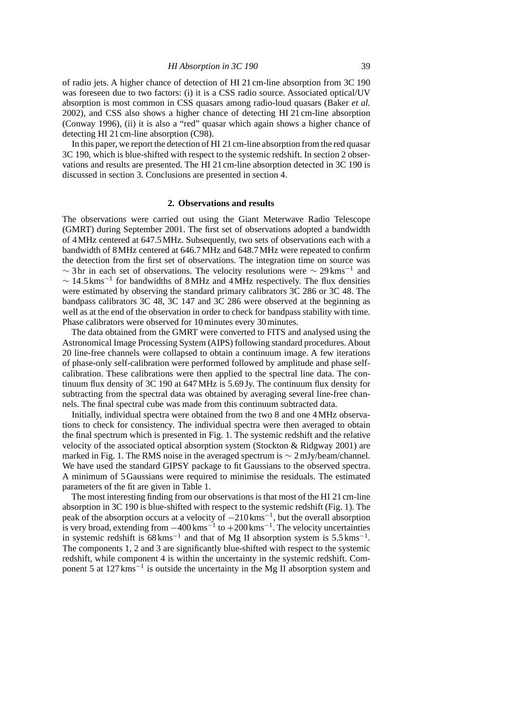of radio jets. A higher chance of detection of HI 21 cm-line absorption from 3C 190 was foreseen due to two factors: (i) it is a CSS radio source. Associated optical/UV absorption is most common in CSS quasars among radio-loud quasars (Baker *et al.* 2002), and CSS also shows a higher chance of detecting HI 21 cm-line absorption (Conway 1996), (ii) it is also a "red" quasar which again shows a higher chance of detecting HI 21 cm-line absorption (C98).

In this paper, we report the detection of HI 21 cm-line absorption from the red quasar 3C 190, which is blue-shifted with respect to the systemic redshift. In section 2 observations and results are presented. The HI 21 cm-line absorption detected in 3C 190 is discussed in section 3. Conclusions are presented in section 4.

### **2. Observations and results**

The observations were carried out using the Giant Meterwave Radio Telescope (GMRT) during September 2001. The first set of observations adopted a bandwidth of 4 MHz centered at 647.5 MHz. Subsequently, two sets of observations each with a bandwidth of 8 MHz centered at 646.7 MHz and 648.7 MHz were repeated to confirm the detection from the first set of observations. The integration time on source was  $\sim$  3 hr in each set of observations. The velocity resolutions were  $\sim$  29 kms<sup>-1</sup> and  $\sim 14.5 \,\mathrm{km s^{-1}}$  for bandwidths of 8 MHz and 4 MHz respectively. The flux densities were estimated by observing the standard primary calibrators 3C 286 or 3C 48. The bandpass calibrators 3C 48, 3C 147 and 3C 286 were observed at the beginning as well as at the end of the observation in order to check for bandpass stability with time. Phase calibrators were observed for 10 minutes every 30 minutes.

The data obtained from the GMRT were converted to FITS and analysed using the Astronomical Image Processing System (AIPS) following standard procedures. About 20 line-free channels were collapsed to obtain a continuum image. A few iterations of phase-only self-calibration were performed followed by amplitude and phase selfcalibration. These calibrations were then applied to the spectral line data. The continuum flux density of 3C 190 at 647 MHz is 5.69 Jy. The continuum flux density for subtracting from the spectral data was obtained by averaging several line-free channels. The final spectral cube was made from this continuum subtracted data.

Initially, individual spectra were obtained from the two 8 and one 4 MHz observations to check for consistency. The individual spectra were then averaged to obtain the final spectrum which is presented in Fig. 1. The systemic redshift and the relative velocity of the associated optical absorption system (Stockton & Ridgway 2001) are marked in Fig. 1. The RMS noise in the averaged spectrum is  $\sim 2$  mJy/beam/channel. We have used the standard GIPSY package to fit Gaussians to the observed spectra. A minimum of 5 Gaussians were required to minimise the residuals. The estimated parameters of the fit are given in Table 1.

The most interesting finding from our observations is that most of the HI 21 cm-line absorption in 3C 190 is blue-shifted with respect to the systemic redshift (Fig. 1). The peak of the absorption occurs at a velocity of <sup>−</sup>210 kms−1, but the overall absorption is very broad, extending from  $-400 \text{ km s}^{-1}$  to  $+200 \text{ km s}^{-1}$ . The velocity uncertainties in systemic redshift is  $68 \text{ km s}^{-1}$  and that of Mg II absorption system is 5.5 kms<sup>-1</sup>. The components 1, 2 and 3 are significantly blue-shifted with respect to the systemic redshift, while component 4 is within the uncertainty in the systemic redshift. Component 5 at 127 kms−<sup>1</sup> is outside the uncertainty in the Mg II absorption system and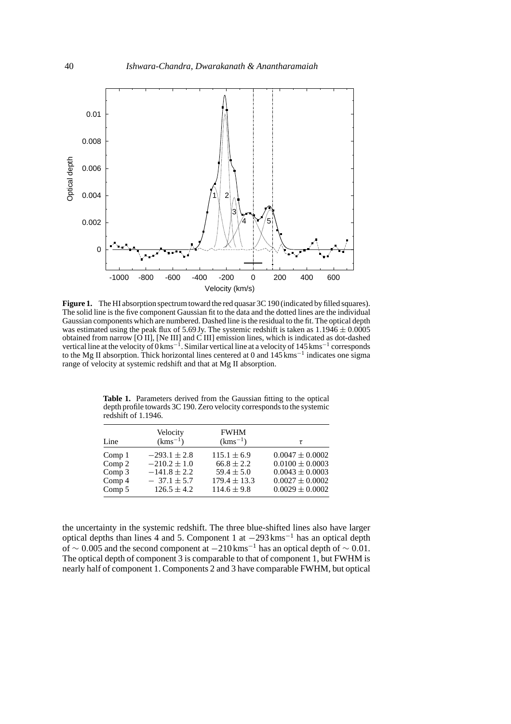

**Figure 1.** The HI absorption spectrum toward the red quasar 3C 190 (indicated by filled squares). The solid line is the five component Gaussian fit to the data and the dotted lines are the individual Gaussian components which are numbered. Dashed line is the residual to the fit. The optical depth was estimated using the peak flux of 5.69 Jy. The systemic redshift is taken as  $1.1946 \pm 0.0005$ obtained from narrow  $\overline{[O II]}$ ,  $\overline{[Ne III]}$  and  $\overline{C III]}$  emission lines, which is indicated as dot-dashed vertical line at the velocity of  $0 \text{km s}^{-1}$ . Similar vertical line at a velocity of 145 kms<sup>-1</sup> corresponds to the Mg II absorption. Thick horizontal lines centered at 0 and 145 kms−<sup>1</sup> indicates one sigma range of velocity at systemic redshift and that at Mg II absorption.

|                   | Velocity         | <b>FWHM</b>      |                     |
|-------------------|------------------|------------------|---------------------|
| Line              | $(kms^{-1})$     | $(kms^{-1})$     | τ                   |
| Comp <sub>1</sub> | $-293.1 \pm 2.8$ | $115.1 \pm 6.9$  | $0.0047 \pm 0.0002$ |
| Comp $2$          | $-210.2 \pm 1.0$ | $66.8 \pm 2.2$   | $0.0100 \pm 0.0003$ |
| Comp 3            | $-141.8 \pm 2.2$ | $59.4 \pm 5.0$   | $0.0043 \pm 0.0003$ |
| Comp <sub>4</sub> | $-37.1 \pm 5.7$  | $179.4 \pm 13.3$ | $0.0027 \pm 0.0002$ |
| Comp 5            | $126.5 \pm 4.2$  | $114.6 \pm 9.8$  | $0.0029 \pm 0.0002$ |

**Table 1.** Parameters derived from the Gaussian fitting to the optical depth profile towards 3C 190. Zero velocity corresponds to the systemic redshift of 1.1946.

the uncertainty in the systemic redshift. The three blue-shifted lines also have larger optical depths than lines 4 and 5. Component 1 at <sup>−</sup>293 kms−<sup>1</sup> has an optical depth of ∼ 0.005 and the second component at  $-210 \text{ km s}^{-1}$  has an optical depth of  $\sim 0.01$ . The optical depth of component 3 is comparable to that of component 1, but FWHM is nearly half of component 1. Components 2 and 3 have comparable FWHM, but optical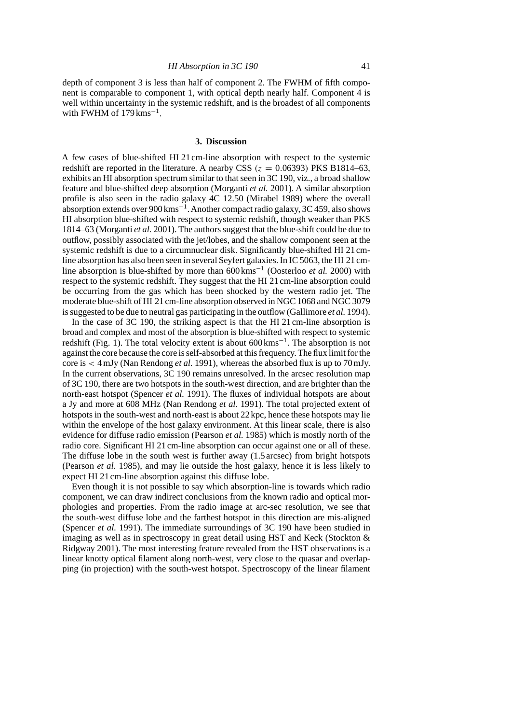depth of component 3 is less than half of component 2. The FWHM of fifth component is comparable to component 1, with optical depth nearly half. Component 4 is well within uncertainty in the systemic redshift, and is the broadest of all components with FWHM of  $179 \text{ km s}^{-1}$ .

#### **3. Discussion**

A few cases of blue-shifted HI 21 cm-line absorption with respect to the systemic redshift are reported in the literature. A nearby CSS ( $z = 0.06393$ ) PKS B1814–63, exhibits an HI absorption spectrum similar to that seen in 3C 190, viz., a broad shallow feature and blue-shifted deep absorption (Morganti *et al.* 2001). A similar absorption profile is also seen in the radio galaxy 4C 12.50 (Mirabel 1989) where the overall absorption extends over 900 kms−1.Another compact radio galaxy, 3C 459, also shows HI absorption blue-shifted with respect to systemic redshift, though weaker than PKS 1814–63 (Morganti *et al.* 2001). The authors suggest that the blue-shift could be due to outflow, possibly associated with the jet/lobes, and the shallow component seen at the systemic redshift is due to a circumnuclear disk. Significantly blue-shifted HI 21 cmline absorption has also been seen in several Seyfert galaxies. In IC 5063, the HI 21 cmline absorption is blue-shifted by more than 600 kms−<sup>1</sup> (Oosterloo *et al.* 2000) with respect to the systemic redshift. They suggest that the HI 21 cm-line absorption could be occurring from the gas which has been shocked by the western radio jet. The moderate blue-shift of HI 21 cm-line absorption observed in NGC 1068 and NGC 3079 is suggested to be due to neutral gas participating in the outflow (Gallimore *et al.* 1994).

In the case of 3C 190, the striking aspect is that the HI 21 cm-line absorption is broad and complex and most of the absorption is blue-shifted with respect to systemic redshift (Fig. 1). The total velocity extent is about 600 kms−1. The absorption is not against the core because the core is self-absorbed at this frequency. The flux limit for the core is < 4 mJy (Nan Rendong *et al.* 1991), whereas the absorbed flux is up to 70 mJy. In the current observations, 3C 190 remains unresolved. In the arcsec resolution map of 3C 190, there are two hotspots in the south-west direction, and are brighter than the north-east hotspot (Spencer *et al.* 1991). The fluxes of individual hotspots are about a Jy and more at 608 MHz (Nan Rendong *et al.* 1991). The total projected extent of hotspots in the south-west and north-east is about 22 kpc, hence these hotspots may lie within the envelope of the host galaxy environment. At this linear scale, there is also evidence for diffuse radio emission (Pearson *et al.* 1985) which is mostly north of the radio core. Significant HI 21 cm-line absorption can occur against one or all of these. The diffuse lobe in the south west is further away (1.5 arcsec) from bright hotspots (Pearson *et al.* 1985), and may lie outside the host galaxy, hence it is less likely to expect HI 21 cm-line absorption against this diffuse lobe.

Even though it is not possible to say which absorption-line is towards which radio component, we can draw indirect conclusions from the known radio and optical morphologies and properties. From the radio image at arc-sec resolution, we see that the south-west diffuse lobe and the farthest hotspot in this direction are mis-aligned (Spencer *et al.* 1991). The immediate surroundings of 3C 190 have been studied in imaging as well as in spectroscopy in great detail using HST and Keck (Stockton & Ridgway 2001). The most interesting feature revealed from the HST observations is a linear knotty optical filament along north-west, very close to the quasar and overlapping (in projection) with the south-west hotspot. Spectroscopy of the linear filament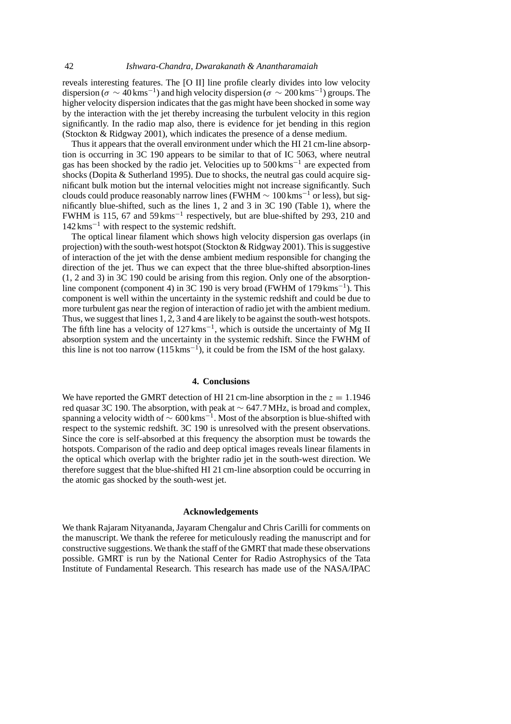reveals interesting features. The [O II] line profile clearly divides into low velocity dispersion ( $\sigma \sim 40 \,\rm km s^{-1}$ ) and high velocity dispersion ( $\sigma \sim 200 \,\rm km s^{-1}$ ) groups. The higher velocity dispersion indicates that the gas might have been shocked in some way by the interaction with the jet thereby increasing the turbulent velocity in this region significantly. In the radio map also, there is evidence for jet bending in this region (Stockton & Ridgway 2001), which indicates the presence of a dense medium.

Thus it appears that the overall environment under which the HI 21 cm-line absorption is occurring in 3C 190 appears to be similar to that of IC 5063, where neutral gas has been shocked by the radio jet. Velocities up to 500 kms−<sup>1</sup> are expected from shocks (Dopita & Sutherland 1995). Due to shocks, the neutral gas could acquire significant bulk motion but the internal velocities might not increase significantly. Such clouds could produce reasonably narrow lines (FWHM  $\sim 100 \,\mathrm{km s^{-1}}$  or less), but significantly blue-shifted, such as the lines 1, 2 and 3 in 3C 190 (Table 1), where the FWHM is 115, 67 and 59 kms−<sup>1</sup> respectively, but are blue-shifted by 293, 210 and 142 kms−<sup>1</sup> with respect to the systemic redshift.

The optical linear filament which shows high velocity dispersion gas overlaps (in projection) with the south-west hotspot (Stockton & Ridgway 2001). This is suggestive of interaction of the jet with the dense ambient medium responsible for changing the direction of the jet. Thus we can expect that the three blue-shifted absorption-lines (1, 2 and 3) in 3C 190 could be arising from this region. Only one of the absorptionline component (component 4) in 3C 190 is very broad (FWHM of 179 kms−1). This component is well within the uncertainty in the systemic redshift and could be due to more turbulent gas near the region of interaction of radio jet with the ambient medium. Thus, we suggest that lines 1, 2, 3 and 4 are likely to be against the south-west hotspots. The fifth line has a velocity of  $127 \text{ km s}^{-1}$ , which is outside the uncertainty of Mg II absorption system and the uncertainty in the systemic redshift. Since the FWHM of this line is not too narrow  $(115 \text{ km s}^{-1})$ , it could be from the ISM of the host galaxy.

#### **4. Conclusions**

We have reported the GMRT detection of HI 21 cm-line absorption in the  $z = 1.1946$ red quasar 3C 190. The absorption, with peak at  $\sim$  647.7 MHz, is broad and complex, spanning a velocity width of  $\sim 600 \,\mathrm{km s}^{-1}$ . Most of the absorption is blue-shifted with respect to the systemic redshift. 3C 190 is unresolved with the present observations. Since the core is self-absorbed at this frequency the absorption must be towards the hotspots. Comparison of the radio and deep optical images reveals linear filaments in the optical which overlap with the brighter radio jet in the south-west direction. We therefore suggest that the blue-shifted HI 21 cm-line absorption could be occurring in the atomic gas shocked by the south-west jet.

#### **Acknowledgements**

We thank Rajaram Nityananda, Jayaram Chengalur and Chris Carilli for comments on the manuscript. We thank the referee for meticulously reading the manuscript and for constructive suggestions. We thank the staff of the GMRT that made these observations possible. GMRT is run by the National Center for Radio Astrophysics of the Tata Institute of Fundamental Research. This research has made use of the NASA/IPAC